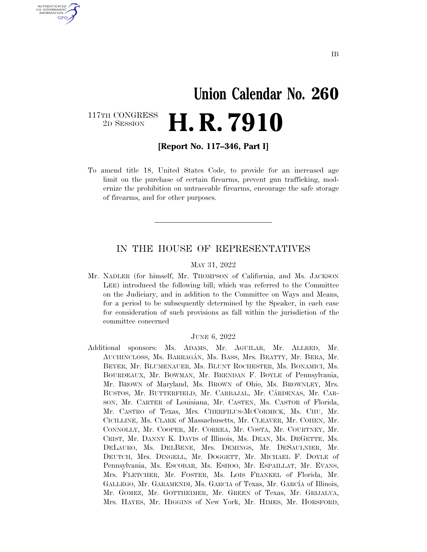# **Union Calendar No. 260**  117TH CONGRESS<br>2D SESSION 2D SESSION **H. R. 7910**

**[Report No. 117–346, Part I]** 

U.S. GOVERNMENT **GPO** 

> To amend title 18, United States Code, to provide for an increased age limit on the purchase of certain firearms, prevent gun trafficking, modernize the prohibition on untraceable firearms, encourage the safe storage of firearms, and for other purposes.

#### IN THE HOUSE OF REPRESENTATIVES

#### MAY 31, 2022

Mr. NADLER (for himself, Mr. THOMPSON of California, and Ms. JACKSON LEE) introduced the following bill; which was referred to the Committee on the Judiciary, and in addition to the Committee on Ways and Means, for a period to be subsequently determined by the Speaker, in each case for consideration of such provisions as fall within the jurisdiction of the committee concerned

#### JUNE 6, 2022

Additional sponsors: Ms. ADAMS, Mr. AGUILAR, Mr. ALLRED, Mr. AUCHINCLOSS, Ms. BARRAGA´N, Ms. BASS, Mrs. BEATTY, Mr. BERA, Mr. BEYER, Mr. BLUMENAUER, Ms. BLUNT ROCHESTER, Ms. BONAMICI, Ms. BOURDEAUX, Mr. BOWMAN, Mr. BRENDAN F. BOYLE of Pennsylvania, Mr. BROWN of Maryland, Ms. BROWN of Ohio, Ms. BROWNLEY, Mrs. BUSTOS, Mr. BUTTERFIELD, Mr. CARBAJAL, Mr. CARDENAS, Mr. CAR-SON, Mr. CARTER of Louisiana, Mr. CASTEN, Ms. CASTOR of Florida, Mr. CASTRO of Texas, Mrs. CHERFILUS-MCCORMICK, Ms. CHU, Mr. CICILLINE, Ms. CLARK of Massachusetts, Mr. CLEAVER, Mr. COHEN, Mr. CONNOLLY, Mr. COOPER, Mr. CORREA, Mr. COSTA, Mr. COURTNEY, Mr. CRIST, Mr. DANNY K. DAVIS of Illinois, Ms. DEAN, Ms. DEGETTE, Ms. DELAURO, Ms. DELBENE, Mrs. DEMINGS, Mr. DESAULNIER, Mr. DEUTCH, Mrs. DINGELL, Mr. DOGGETT, Mr. MICHAEL F. DOYLE of Pennsylvania, Ms. ESCOBAR, Ms. ESHOO, Mr. ESPAILLAT, Mr. EVANS, Mrs. FLETCHER, Mr. FOSTER, Ms. LOIS FRANKEL of Florida, Mr. GALLEGO, Mr. GARAMENDI, Ms. GARCIA of Texas, Mr. GARCÍA of Illinois, Mr. GOMEZ, Mr. GOTTHEIMER, Mr. GREEN of Texas, Mr. GRIJALVA, Mrs. HAYES, Mr. HIGGINS of New York, Mr. HIMES, Mr. HORSFORD,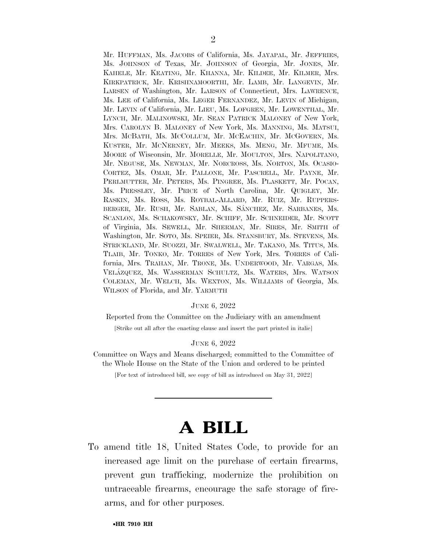Mr. HUFFMAN, Ms. JACOBS of California, Ms. JAYAPAL, Mr. JEFFRIES, Ms. JOHNSON of Texas, Mr. JOHNSON of Georgia, Mr. JONES, Mr. KAHELE, Mr. KEATING, Mr. KHANNA, Mr. KILDEE, Mr. KILMER, Mrs. KIRKPATRICK, Mr. KRISHNAMOORTHI, Mr. LAMB, Mr. LANGEVIN, Mr. LARSEN of Washington, Mr. LARSON of Connecticut, Mrs. LAWRENCE, Ms. LEE of California, Ms. LEGER FERNANDEZ, Mr. LEVIN of Michigan, Mr. LEVIN of California, Mr. LIEU, Ms. LOFGREN, Mr. LOWENTHAL, Mr. LYNCH, Mr. MALINOWSKI, Mr. SEAN PATRICK MALONEY of New York, Mrs. CAROLYN B. MALONEY of New York, Ms. MANNING, Ms. MATSUI, Mrs. MCBATH, Ms. MCCOLLUM, Mr. MCEACHIN, Mr. MCGOVERN, Ms. KUSTER, Mr. MCNERNEY, Mr. MEEKS, Ms. MENG, Mr. MFUME, Ms. MOORE of Wisconsin, Mr. MORELLE, Mr. MOULTON, Mrs. NAPOLITANO, Mr. NEGUSE, Ms. NEWMAN, Mr. NORCROSS, Ms. NORTON, Ms. OCASIO-CORTEZ, Ms. OMAR, Mr. PALLONE, Mr. PASCRELL, Mr. PAYNE, Mr. PERLMUTTER, Mr. PETERS, Ms. PINGREE, Ms. PLASKETT, Mr. POCAN, Ms. PRESSLEY, Mr. PRICE of North Carolina, Mr. QUIGLEY, Mr. RASKIN, Ms. ROSS, Ms. ROYBAL-ALLARD, Mr. RUIZ, Mr. RUPPERS-BERGER, Mr. RUSH, Mr. SABLAN, Ms. SÁNCHEZ, Mr. SARBANES, Ms. SCANLON, Ms. SCHAKOWSKY, Mr. SCHIFF, Mr. SCHNEIDER, Mr. SCOTT of Virginia, Ms. SEWELL, Mr. SHERMAN, Mr. SIRES, Mr. SMITH of Washington, Mr. SOTO, Ms. SPEIER, Ms. STANSBURY, Ms. STEVENS, Ms. STRICKLAND, Mr. SUOZZI, Mr. SWALWELL, Mr. TAKANO, Ms. TITUS, Ms. TLAIB, Mr. TONKO, Mr. TORRES of New York, Mrs. TORRES of California, Mrs. TRAHAN, Mr. TRONE, Ms. UNDERWOOD, Mr. VARGAS, Ms. VELA´ZQUEZ, Ms. WASSERMAN SCHULTZ, Ms. WATERS, Mrs. WATSON COLEMAN, Mr. WELCH, Ms. WEXTON, Ms. WILLIAMS of Georgia, Ms. WILSON of Florida, and Mr. YARMUTH

#### JUNE 6, 2022

Reported from the Committee on the Judiciary with an amendment

[Strike out all after the enacting clause and insert the part printed in italic]

JUNE 6, 2022

Committee on Ways and Means discharged; committed to the Committee of the Whole House on the State of the Union and ordered to be printed

[For text of introduced bill, see copy of bill as introduced on May 31, 2022]

# **A BILL**

To amend title 18, United States Code, to provide for an increased age limit on the purchase of certain firearms, prevent gun trafficking, modernize the prohibition on untraceable firearms, encourage the safe storage of firearms, and for other purposes.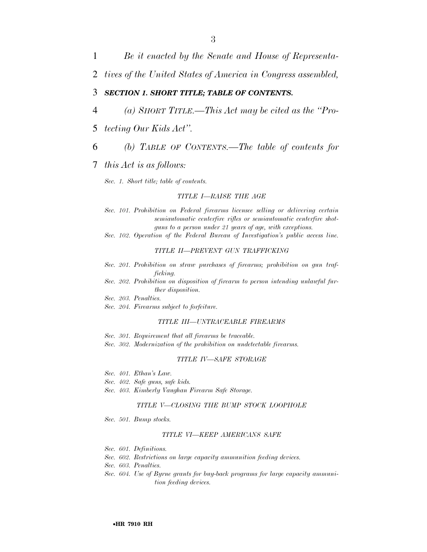1 *Be it enacted by the Senate and House of Representa-*

2 *tives of the United States of America in Congress assembled,* 

#### 3 *SECTION 1. SHORT TITLE; TABLE OF CONTENTS.*

- 4 *(a) SHORT TITLE.—This Act may be cited as the ''Pro-*
- 5 *tecting Our Kids Act''.*
- 6 *(b) TABLE OF CONTENTS.—The table of contents for*

#### 7 *this Act is as follows:*

*Sec. 1. Short title; table of contents.* 

#### *TITLE I—RAISE THE AGE*

- *Sec. 101. Prohibition on Federal firearms licensee selling or delivering certain semiautomatic centerfire rifles or semiautomatic centerfire shotguns to a person under 21 years of age, with exceptions.*
- *Sec. 102. Operation of the Federal Bureau of Investigation's public access line.*

#### *TITLE II—PREVENT GUN TRAFFICKING*

- *Sec. 201. Prohibition on straw purchases of firearms; prohibition on gun trafficking.*
- *Sec. 202. Prohibition on disposition of firearm to person intending unlawful further disposition.*
- *Sec. 203. Penalties.*
- *Sec. 204. Firearms subject to forfeiture.*

#### *TITLE III—UNTRACEABLE FIREARMS*

- *Sec. 301. Requirement that all firearms be traceable.*
- *Sec. 302. Modernization of the prohibition on undetectable firearms.*

#### *TITLE IV—SAFE STORAGE*

- *Sec. 401. Ethan's Law.*
- *Sec. 402. Safe guns, safe kids.*
- *Sec. 403. Kimberly Vaughan Firearm Safe Storage.*

#### *TITLE V—CLOSING THE BUMP STOCK LOOPHOLE*

*Sec. 501. Bump stocks.* 

#### *TITLE VI—KEEP AMERICANS SAFE*

- *Sec. 601. Definitions.*
- *Sec. 602. Restrictions on large capacity ammunition feeding devices.*
- *Sec. 603. Penalties.*
- *Sec. 604. Use of Byrne grants for buy-back programs for large capacity ammunition feeding devices.*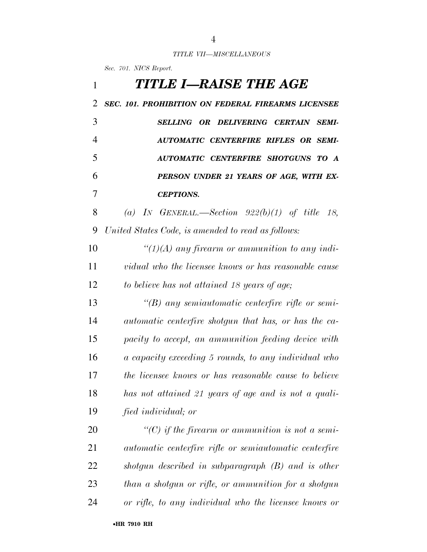#### *TITLE VII—MISCELLANEOUS*

*Sec. 701. NICS Report.* 

| 1  | TITLE I—RAISE THE AGE                                    |
|----|----------------------------------------------------------|
| 2  | SEC. 101. PROHIBITION ON FEDERAL FIREARMS LICENSEE       |
| 3  | SELLING OR DELIVERING CERTAIN SEMI-                      |
| 4  | <b>AUTOMATIC CENTERFIRE RIFLES OR SEMI-</b>              |
| 5  | AUTOMATIC CENTERFIRE SHOTGUNS TO A                       |
| 6  | PERSON UNDER 21 YEARS OF AGE, WITH EX-                   |
| 7  | <b>CEPTIONS.</b>                                         |
| 8  | (a) IN GENERAL.—Section $922(b)(1)$ of title 18,         |
| 9  | United States Code, is amended to read as follows:       |
| 10 | " $(1)(A)$ any firearm or ammunition to any indi-        |
| 11 | vidual who the licensee knows or has reasonable cause    |
| 12 | to believe has not attained 18 years of age;             |
| 13 | $\lq\lq(B)$ any semiautomatic centerfire rifle or semi-  |
| 14 | automatic centerfire shotgun that has, or has the ca-    |
| 15 | pacity to accept, an ammunition feeding device with      |
| 16 | a capacity exceeding 5 rounds, to any individual who     |
| 17 | the licensee knows or has reasonable cause to believe    |
| 18 | has not attained 21 years of age and is not a quali-     |
| 19 | fied individual; or                                      |
| 20 | $\lq\lq C$ ) if the firearm or ammunition is not a semi- |
| 21 | automatic centerfire rifle or semiautomatic centerfire   |
| 22 | shotgun described in subparagraph $(B)$ and is other     |
| 23 | than a shotgun or rifle, or ammunition for a shotgun     |
| 24 | or rifle, to any individual who the licensee knows or    |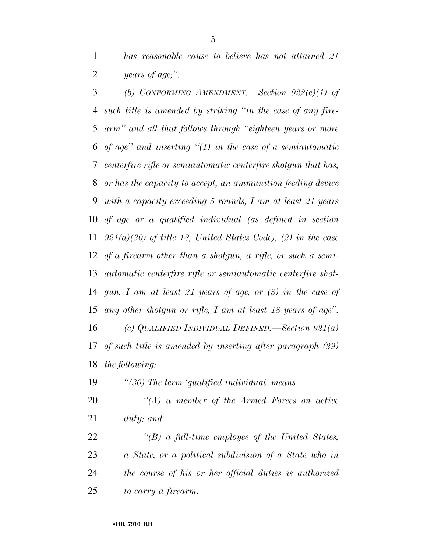*has reasonable cause to believe has not attained 21 years of age;''.* 

 *(b) CONFORMING AMENDMENT.—Section 922(c)(1) of such title is amended by striking ''in the case of any fire- arm'' and all that follows through ''eighteen years or more of age'' and inserting ''(1) in the case of a semiautomatic centerfire rifle or semiautomatic centerfire shotgun that has, or has the capacity to accept, an ammunition feeding device with a capacity exceeding 5 rounds, I am at least 21 years of age or a qualified individual (as defined in section 921(a)(30) of title 18, United States Code), (2) in the case of a firearm other than a shotgun, a rifle, or such a semi- automatic centerfire rifle or semiautomatic centerfire shot- gun, I am at least 21 years of age, or (3) in the case of any other shotgun or rifle, I am at least 18 years of age''. (c) QUALIFIED INDIVIDUAL DEFINED.—Section 921(a) of such title is amended by inserting after paragraph (29) the following:* 

*''(30) The term 'qualified individual' means—* 

 *''(A) a member of the Armed Forces on active duty; and* 

 *''(B) a full-time employee of the United States, a State, or a political subdivision of a State who in the course of his or her official duties is authorized to carry a firearm.*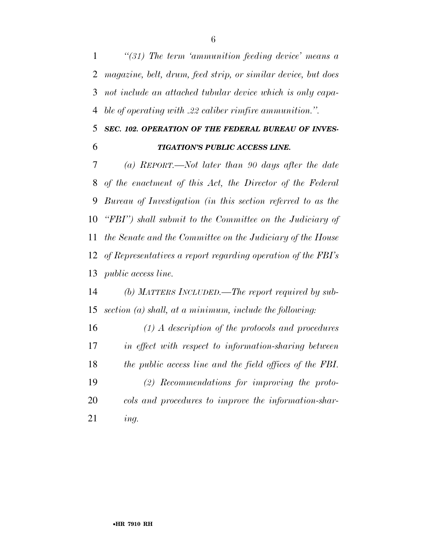*''(31) The term 'ammunition feeding device' means a magazine, belt, drum, feed strip, or similar device, but does not include an attached tubular device which is only capa-ble of operating with .22 caliber rimfire ammunition.''.* 

### *SEC. 102. OPERATION OF THE FEDERAL BUREAU OF INVES-TIGATION'S PUBLIC ACCESS LINE.*

 *(a) REPORT.—Not later than 90 days after the date of the enactment of this Act, the Director of the Federal Bureau of Investigation (in this section referred to as the ''FBI'') shall submit to the Committee on the Judiciary of the Senate and the Committee on the Judiciary of the House of Representatives a report regarding operation of the FBI's public access line.* 

 *(b) MATTERS INCLUDED.—The report required by sub-section (a) shall, at a minimum, include the following:* 

 *(1) A description of the protocols and procedures in effect with respect to information-sharing between the public access line and the field offices of the FBI. (2) Recommendations for improving the proto- cols and procedures to improve the information-shar-ing.*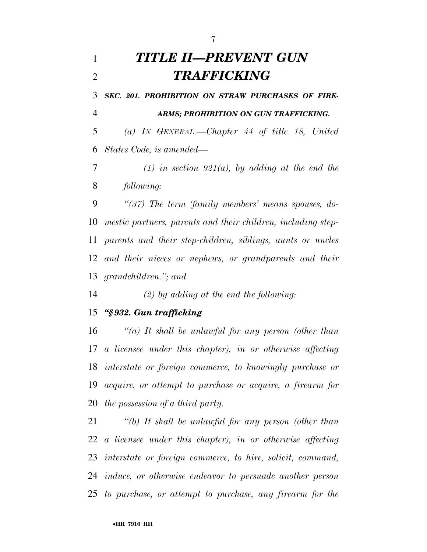# *TITLE II—PREVENT GUN TRAFFICKING*

 *SEC. 201. PROHIBITION ON STRAW PURCHASES OF FIRE-ARMS; PROHIBITION ON GUN TRAFFICKING.* 

 *(a) IN GENERAL.—Chapter 44 of title 18, United States Code, is amended—* 

 *(1) in section 921(a), by adding at the end the following:* 

 *''(37) The term 'family members' means spouses, do- mestic partners, parents and their children, including step- parents and their step-children, siblings, aunts or uncles and their nieces or nephews, or grandparents and their grandchildren.''; and* 

*(2) by adding at the end the following:* 

#### *''§ 932. Gun trafficking*

 *''(a) It shall be unlawful for any person (other than a licensee under this chapter), in or otherwise affecting interstate or foreign commerce, to knowingly purchase or acquire, or attempt to purchase or acquire, a firearm for the possession of a third party.* 

 *''(b) It shall be unlawful for any person (other than a licensee under this chapter), in or otherwise affecting interstate or foreign commerce, to hire, solicit, command, induce, or otherwise endeavor to persuade another person to purchase, or attempt to purchase, any firearm for the*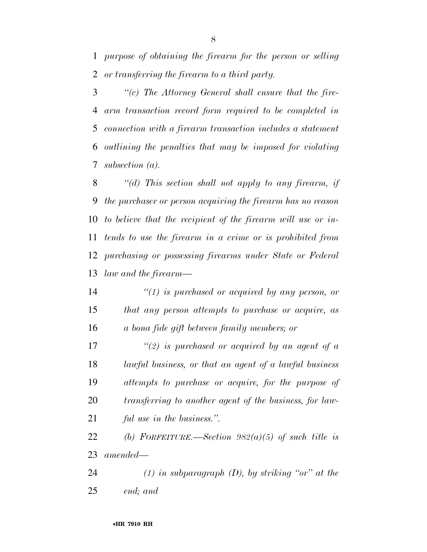*purpose of obtaining the firearm for the person or selling or transferring the firearm to a third party.* 

 *''(c) The Attorney General shall ensure that the fire- arm transaction record form required to be completed in connection with a firearm transaction includes a statement outlining the penalties that may be imposed for violating subsection (a).* 

 *''(d) This section shall not apply to any firearm, if the purchaser or person acquiring the firearm has no reason to believe that the recipient of the firearm will use or in- tends to use the firearm in a crime or is prohibited from purchasing or possessing firearms under State or Federal law and the firearm—* 

 *''(1) is purchased or acquired by any person, or that any person attempts to purchase or acquire, as a bona fide gift between family members; or* 

 *''(2) is purchased or acquired by an agent of a lawful business, or that an agent of a lawful business attempts to purchase or acquire, for the purpose of transferring to another agent of the business, for law-ful use in the business.''.* 

 *(b) FORFEITURE.—Section 982(a)(5) of such title is amended—* 

 *(1) in subparagraph (D), by striking ''or'' at the end; and*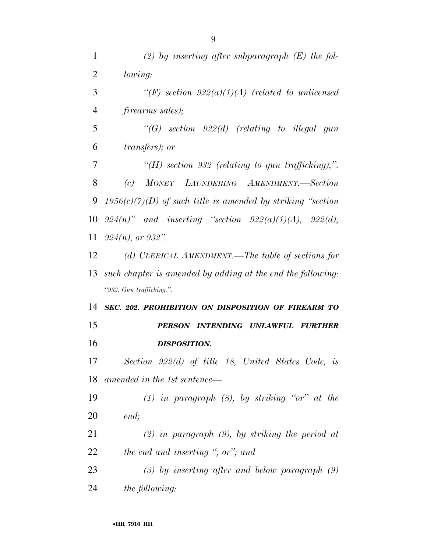| $\mathbf{1}$   | (2) by inserting after subparagraph $(E)$ the fol-             |
|----------------|----------------------------------------------------------------|
| $\overline{2}$ | lowing:                                                        |
| 3              | $\lq (F)$ section 922(a)(1)(A) (related to unlicensed          |
| $\overline{4}$ | <i>firearms sales)</i> ;                                       |
| 5              | $\lq\lq G)$ section 922(d) (relating to illegal gun            |
| 6              | <i>transfers</i> ); or                                         |
| 7              | "(H) section 932 (relating to gun trafficking),".              |
| 8              | (c) MONEY LAUNDERING AMENDMENT.—Section                        |
| 9              | $1956(c)(7)(D)$ of such title is amended by striking "section" |
| 10             | $924(n)$ " and inserting "section $922(a)(1)(A)$ , $922(d)$ ,  |
| 11             | $924(n)$ , or $932$ ".                                         |
| 12             | (d) CLERICAL AMENDMENT.—The table of sections for              |
| 13             | such chapter is amended by adding at the end the following:    |
|                | "932. Gun trafficking.".                                       |
| 14             | SEC. 202. PROHIBITION ON DISPOSITION OF FIREARM TO             |
| 15             | PERSON INTENDING UNLAWFUL<br><i>FURTHER</i>                    |
| 16             | <b>DISPOSITION.</b>                                            |
| 17             | Section 922(d) of title 18, United States Code, is             |
| 18             | amended in the 1st sentence—                                   |
| 19             | $(1)$ in paragraph $(8)$ , by striking "or" at the             |
| 20             | end;                                                           |
| 21             | $(2)$ in paragraph $(9)$ , by striking the period at           |
| 22             | the end and inserting "; or"; and                              |
| 23             | $(3)$ by inserting after and below paragraph $(9)$             |
| 24             | <i>the following:</i>                                          |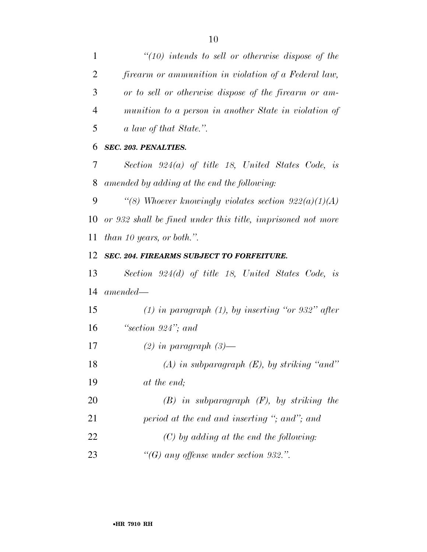*''(10) intends to sell or otherwise dispose of the firearm or ammunition in violation of a Federal law, or to sell or otherwise dispose of the firearm or am- munition to a person in another State in violation of a law of that State.''.* 

#### *SEC. 203. PENALTIES.*

 *Section 924(a) of title 18, United States Code, is amended by adding at the end the following:* 

 *''(8) Whoever knowingly violates section 922(a)(1)(A) or 932 shall be fined under this title, imprisoned not more than 10 years, or both.''.* 

#### *SEC. 204. FIREARMS SUBJECT TO FORFEITURE.*

 *Section 924(d) of title 18, United States Code, is amended—* 

 *(1) in paragraph (1), by inserting ''or 932'' after ''section 924''; and* 

*(2) in paragraph (3)—* 

*(A) in subparagraph (E), by striking ''and''* 

*at the end;* 

 *(B) in subparagraph (F), by striking the period at the end and inserting ''; and''; and (C) by adding at the end the following:* 

*''(G) any offense under section 932.''.*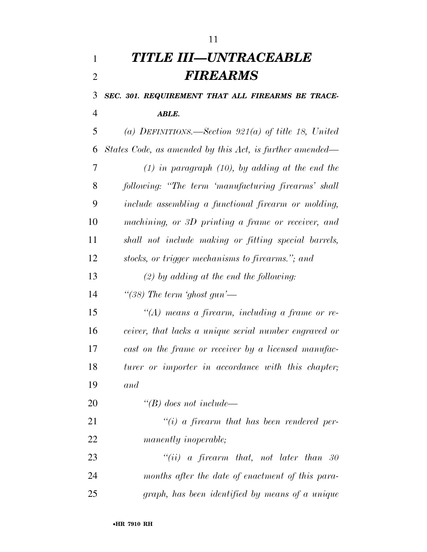# *TITLE III—UNTRACEABLE FIREARMS*

 *SEC. 301. REQUIREMENT THAT ALL FIREARMS BE TRACE-ABLE.* 

 *(a) DEFINITIONS.—Section 921(a) of title 18, United States Code, as amended by this Act, is further amended— (1) in paragraph (10), by adding at the end the following: ''The term 'manufacturing firearms' shall include assembling a functional firearm or molding, machining, or 3D printing a frame or receiver, and shall not include making or fitting special barrels, stocks, or trigger mechanisms to firearms.''; and* 

*(2) by adding at the end the following:* 

*''(38) The term 'ghost gun'—* 

 *''(A) means a firearm, including a frame or re- ceiver, that lacks a unique serial number engraved or cast on the frame or receiver by a licensed manufac- turer or importer in accordance with this chapter; and* 

*''(B) does not include—* 

 *''(i) a firearm that has been rendered per-manently inoperable;* 

 *''(ii) a firearm that, not later than 30 months after the date of enactment of this para-graph, has been identified by means of a unique*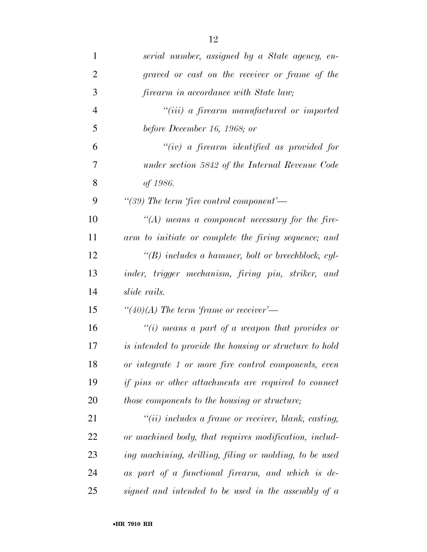| $\mathbf{1}$   | serial number, assigned by a State agency, en-              |
|----------------|-------------------------------------------------------------|
| $\overline{2}$ | graved or cast on the receiver or frame of the              |
| 3              | firearm in accordance with State law;                       |
| $\overline{4}$ | "(iii) a firearm manufactured or imported                   |
| 5              | before December 16, 1968; or                                |
| 6              | $``(iv)$ a firearm identified as provided for               |
| 7              | under section 5842 of the Internal Revenue Code             |
| 8              | of 1986.                                                    |
| 9              | "(39) The term 'fire control component'—                    |
| 10             | $\lq (A)$ means a component necessary for the fire-         |
| 11             | arm to initiate or complete the firing sequence; and        |
| 12             | $\lq\lq(B)$ includes a hammer, bolt or breechblock, cyl-    |
| 13             | inder, trigger mechanism, firing pin, striker, and          |
| 14             | slide rails.                                                |
| 15             | "(40)(A) The term 'frame or receiver'—                      |
| 16             | "(i) means a part of a weapon that provides or              |
| 17             | is intended to provide the housing or structure to hold     |
| 18             | or integrate 1 or more fire control components, even        |
| 19             | <i>if pins or other attachments are required to connect</i> |
| 20             | <i>those components to the housing or structure;</i>        |
| 21             | $``(ii)$ includes a frame or receiver, blank, casting,      |
| 22             | or machined body, that requires modification, includ-       |
| 23             | ing machining, drilling, filing or molding, to be used      |
| 24             | as part of a functional firearm, and which is de-           |
| 25             | signed and intended to be used in the assembly of $a$       |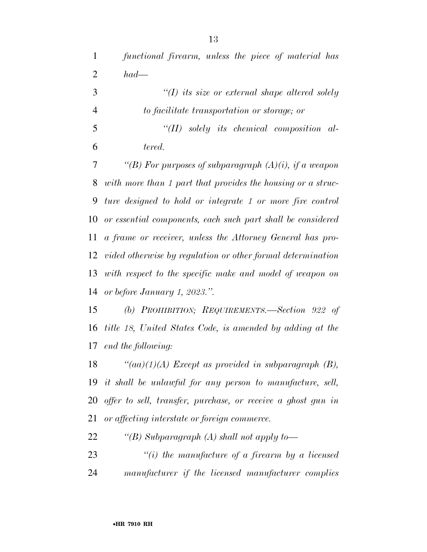| $\mathbf{1}$   | functional firearm, unless the piece of material has            |
|----------------|-----------------------------------------------------------------|
| $\overline{2}$ | $had-$                                                          |
| 3              | $\lq (I)$ its size or external shape altered solely             |
| $\overline{4}$ | to facilitate transportation or storage; or                     |
| 5              | $``(II)$ solely its chemical composition al-                    |
| 6              | tered.                                                          |
| 7              | "(B) For purposes of subparagraph $(A)(i)$ , if a weapon        |
| 8              | with more than 1 part that provides the housing or a struc-     |
| 9              | ture designed to hold or integrate 1 or more fire control       |
| 10             | or essential components, each such part shall be considered     |
| 11             | a frame or receiver, unless the Attorney General has pro-       |
| 12             | vided otherwise by regulation or other formal determination     |
| 13             | with respect to the specific make and model of weapon on        |
| 14             | or before January 1, 2023.".                                    |
| 15             | (b) PROHIBITION; REQUIREMENTS.—Section 922 of                   |
| 16             | title 18, United States Code, is amended by adding at the       |
| 17             | end the following:                                              |
|                | 18 $\qquad (aa)(1)(A)$ Except as provided in subparagraph (B),  |
|                | 19 it shall be unlawful for any person to manufacture, sell,    |
|                | 20 offer to sell, transfer, purchase, or receive a ghost gun in |
| 21             | or affecting interstate or foreign commerce.                    |
| 22             | "(B) Subparagraph (A) shall not apply to-                       |
| 23             | $\lq\lq(i)$ the manufacture of a firearm by a licensed          |
|                |                                                                 |

*manufacturer if the licensed manufacturer complies*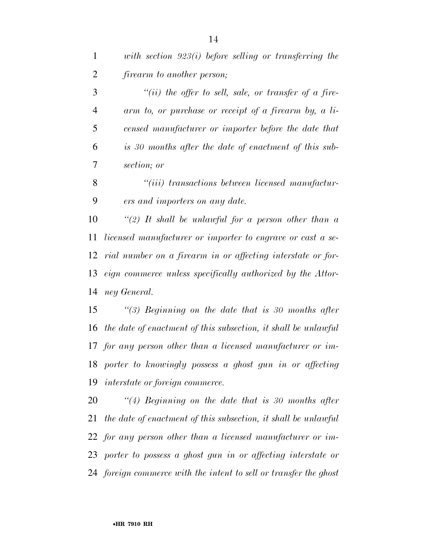| $\mathbf{1}$   | with section $923(i)$ before selling or transferring the       |
|----------------|----------------------------------------------------------------|
| $\overline{2}$ | <i>firearm to another person;</i>                              |
| 3              | $``(ii)$ the offer to sell, sale, or transfer of a fire-       |
| $\overline{4}$ | arm to, or purchase or receipt of a firearm by, a li-          |
| 5              | censed manufacturer or importer before the date that           |
| 6              | is 30 months after the date of enactment of this sub-          |
| 7              | section; or                                                    |
| 8              | $``(iii)$ transactions between licensed manufactur-            |
| 9              | ers and importers on any date.                                 |
| 10             | "(2) It shall be unlawful for a person other than $a$          |
| 11             | licensed manufacturer or importer to engrave or cast a se-     |
| 12             | rial number on a firearm in or affecting interstate or for-    |
| 13             | eign commerce unless specifically authorized by the Attor-     |
| 14             | ney General.                                                   |
| 15             | "(3) Beginning on the date that is 30 months after             |
| 16             | the date of enactment of this subsection, it shall be unlawful |
|                | 17 for any person other than a licensed manufacturer or im-    |

 *porter to knowingly possess a ghost gun in or affecting interstate or foreign commerce.* 

 *''(4) Beginning on the date that is 30 months after the date of enactment of this subsection, it shall be unlawful for any person other than a licensed manufacturer or im- porter to possess a ghost gun in or affecting interstate or foreign commerce with the intent to sell or transfer the ghost*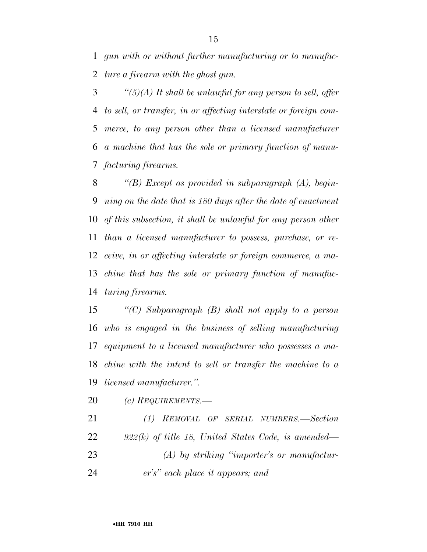*gun with or without further manufacturing or to manufac-ture a firearm with the ghost gun.* 

 *''(5)(A) It shall be unlawful for any person to sell, offer to sell, or transfer, in or affecting interstate or foreign com- merce, to any person other than a licensed manufacturer a machine that has the sole or primary function of manu-facturing firearms.* 

 *''(B) Except as provided in subparagraph (A), begin- ning on the date that is 180 days after the date of enactment of this subsection, it shall be unlawful for any person other than a licensed manufacturer to possess, purchase, or re- ceive, in or affecting interstate or foreign commerce, a ma- chine that has the sole or primary function of manufac-turing firearms.* 

 *''(C) Subparagraph (B) shall not apply to a person who is engaged in the business of selling manufacturing equipment to a licensed manufacturer who possesses a ma- chine with the intent to sell or transfer the machine to a licensed manufacturer.''.* 

*(c) REQUIREMENTS.—* 

 *(1) REMOVAL OF SERIAL NUMBERS.—Section 922(k) of title 18, United States Code, is amended— (A) by striking ''importer's or manufactur-er's'' each place it appears; and*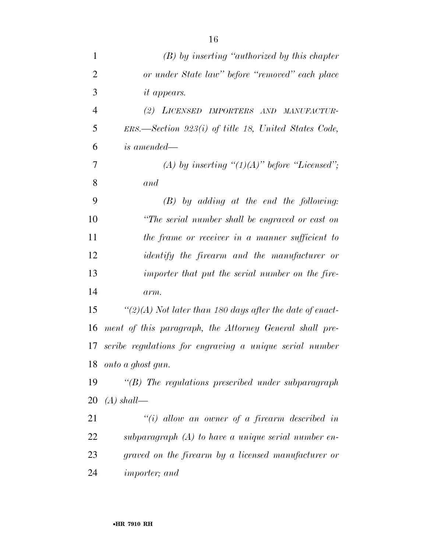| $\mathbf{1}$   | $(B)$ by inserting "authorized by this chapter"           |
|----------------|-----------------------------------------------------------|
| $\overline{2}$ | or under State law" before "removed" each place           |
| 3              | <i>it appears.</i>                                        |
| $\overline{4}$ | (2) LICENSED IMPORTERS AND<br>MANUFACTUR-                 |
| 5              | $ERS.$ Section 923(i) of title 18, United States Code,    |
| 6              | is amended—                                               |
| 7              | (A) by inserting " $(1)(A)$ " before "Licensed";          |
| 8              | and                                                       |
| 9              | $(B)$ by adding at the end the following:                 |
| 10             | "The serial number shall be engraved or cast on           |
| 11             | the frame or receiver in a manner sufficient to           |
| 12             | <i>identify</i> the firearm and the manufacturer or       |
| 13             | importer that put the serial number on the fire-          |
| 14             | arm.                                                      |
| 15             | "(2)(A) Not later than 180 days after the date of enact-  |
| 16             | ment of this paragraph, the Attorney General shall pre-   |
| 17             | scribe regulations for engraving a unique serial number   |
| 18             | onto a ghost gun.                                         |
| 19             | $\lq\lq(B)$ The regulations prescribed under subparagraph |
| 20             | $(A)$ shall—                                              |
| 21             | $``(i)$ allow an owner of a firearm described in          |
| 22             | subparagraph $(A)$ to have a unique serial number en-     |
| 23             | graved on the firearm by a licensed manufacturer or       |
| 24             | <i>importer</i> ; and                                     |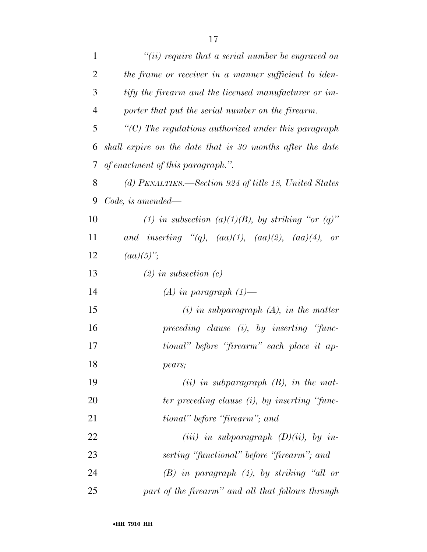| $\mathbf{1}$   | "(ii) require that a serial number be engraved on          |
|----------------|------------------------------------------------------------|
| $\overline{2}$ | the frame or receiver in a manner sufficient to iden-      |
| 3              | tify the firearm and the licensed manufacturer or im-      |
| $\overline{4}$ | porter that put the serial number on the firearm.          |
| 5              | $\lq$ (C) The regulations authorized under this paragraph  |
| 6              | shall expire on the date that is 30 months after the date  |
| 7              | of enactment of this paragraph.".                          |
| 8              | (d) PENALTIES.—Section 924 of title 18, United States      |
| 9              | Code, is amended—                                          |
| 10             | (1) in subsection (a)(1)(B), by striking "or (q)"          |
| 11             | and inserting "(q), $(aa)(1)$ , $(aa)(2)$ , $(aa)(4)$ , or |
| 12             | $(aa)(5)$ ";                                               |
| 13             | $(2)$ in subsection $(c)$                                  |
| 14             | $(A)$ in paragraph $(1)$ —                                 |
| 15             | $(i)$ in subparagraph $(A)$ , in the matter                |
| 16             | $preceding$ clause $(i)$ , by inserting "func-             |
| 17             | tional" before "firearm" each place it ap-                 |
| 18             | pears;                                                     |
| 19             | (ii) in subparagraph $(B)$ , in the mat-                   |
| 20             | ter preceding clause (i), by inserting "func-              |
| 21             | tional" before "firearm"; and                              |
| 22             | (iii) in subparagraph $(D)(ii)$ , by in-                   |
| 23             | serting "functional" before "firearm"; and                 |
| 24             | $(B)$ in paragraph $(4)$ , by striking "all or             |
| 25             | part of the firearm" and all that follows through          |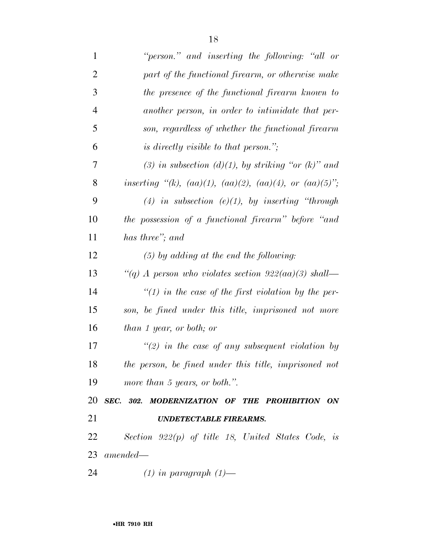| $\mathbf{1}$   | "person." and inserting the following: "all or                      |
|----------------|---------------------------------------------------------------------|
| $\overline{2}$ | part of the functional firearm, or otherwise make                   |
| 3              | the presence of the functional firearm known to                     |
| 4              | another person, in order to intimidate that per-                    |
| 5              | son, regardless of whether the functional firearm                   |
| 6              | <i>is directly visible to that person.</i> ";                       |
| 7              | (3) in subsection (d)(1), by striking "or (k)" and                  |
| 8              | inserting "(k), $(aa)(1)$ , $(aa)(2)$ , $(aa)(4)$ , or $(aa)(5)$ "; |
| 9              | (4) in subsection (e)(1), by inserting "through                     |
| 10             | the possession of a functional firearm" before "and                 |
| 11             | has three"; and                                                     |
| 12             | $(5)$ by adding at the end the following:                           |
| 13             | "(q) A person who violates section $922(aa)(3)$ shall—              |
| 14             | "(1) in the case of the first violation by the per-                 |
| 15             | son, be fined under this title, imprisoned not more                 |
| 16             | than 1 year, or both; or                                            |
| 17             | $\lq(2)$ in the case of any subsequent violation by                 |
| 18             | the person, be fined under this title, imprisoned not               |
| 19             | more than 5 years, or both.".                                       |
| 20             | SEC. 302. MODERNIZATION OF THE PROHIBITION ON                       |
| 21             | <b>UNDETECTABLE FIREARMS.</b>                                       |
| 22             | Section $922(p)$ of title 18, United States Code, is                |
|                | $23$ amended—                                                       |
| 24             | $(1)$ in paragraph $(1)$ —                                          |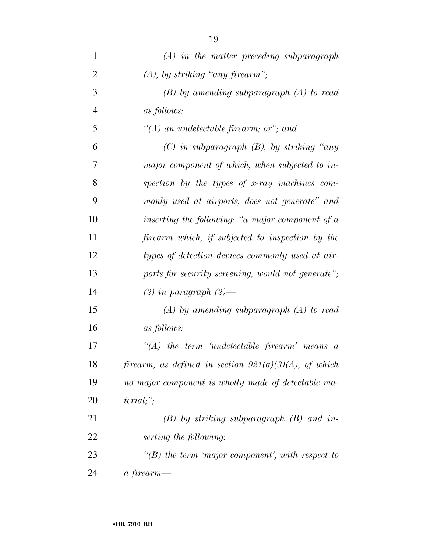| 1              | $(A)$ in the matter preceding subparagraph                  |
|----------------|-------------------------------------------------------------|
| $\overline{2}$ | $(A)$ , by striking "any firearm";                          |
| 3              | $(B)$ by amending subparagraph $(A)$ to read                |
| $\overline{4}$ | as follows:                                                 |
| 5              | "(A) an undetectable firearm; or"; and                      |
| 6              | $(C)$ in subparagraph $(B)$ , by striking "any              |
| 7              | major component of which, when subjected to in-             |
| 8              | spection by the types of x-ray machines com-                |
| 9              | monly used at airports, does not generate" and              |
| 10             | inserting the following: "a major component of a            |
| 11             | firearm which, if subjected to inspection by the            |
| 12             | types of detection devices commonly used at air-            |
| 13             | ports for security screening, would not generate";          |
| 14             | $(2)$ in paragraph $(2)$ —                                  |
| 15             | $(A)$ by amending subparagraph $(A)$ to read                |
| 16             | <i>as follows:</i>                                          |
| 17             | $\lq (A)$ the term 'undetectable firearm' means<br>$\alpha$ |
| 18             | firearm, as defined in section $921(a)(3)(A)$ , of which    |
| 19             | no major component is wholly made of detectable ma-         |
| 20             | $terial;$ ";                                                |
| 21             | $(B)$ by striking subparagraph $(B)$ and in-                |
| 22             | serting the following:                                      |
| 23             | $\lq\lq(B)$ the term 'major component', with respect to     |
| 24             | a firearm—                                                  |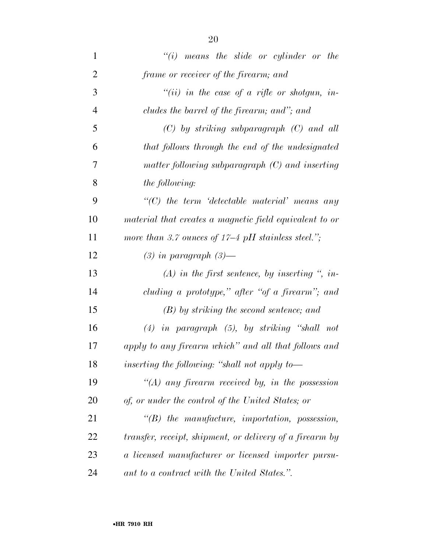| $\mathbf{1}$   | $"(i)$ means the slide or cylinder or the                |
|----------------|----------------------------------------------------------|
| $\overline{2}$ | frame or receiver of the firearm; and                    |
| 3              | "(ii) in the case of a rifle or shotgun, in-             |
| $\overline{4}$ | cludes the barrel of the firearm; and"; and              |
| 5              | $(C)$ by striking subparagraph $(C)$ and all             |
| 6              | that follows through the end of the undesignated         |
| 7              | matter following subparagraph $(C)$ and inserting        |
| 8              | the following:                                           |
| 9              | $"$ (C) the term 'detectable material' means any         |
| 10             | material that creates a magnetic field equivalent to or  |
| 11             | more than 3.7 ounces of $17-4$ pH stainless steel.";     |
| 12             | $(3)$ in paragraph $(3)$ —                               |
| 13             | $(A)$ in the first sentence, by inserting ", in-         |
| 14             | cluding a prototype," after "of a firearm"; and          |
| 15             | $(B)$ by striking the second sentence; and               |
| 16             | $(4)$ in paragraph $(5)$ , by striking "shall not        |
| 17             | apply to any firearm which" and all that follows and     |
| 18             | inserting the following: "shall not apply to-            |
| 19             | $\lq (A)$ any firearm received by, in the possession     |
| 20             | of, or under the control of the United States; or        |
| 21             | $\lq\lq(B)$ the manufacture, importation, possession,    |
| 22             | transfer, receipt, shipment, or delivery of a firearm by |
| 23             | a licensed manufacturer or licensed importer pursu-      |
| 24             | ant to a contract with the United States.".              |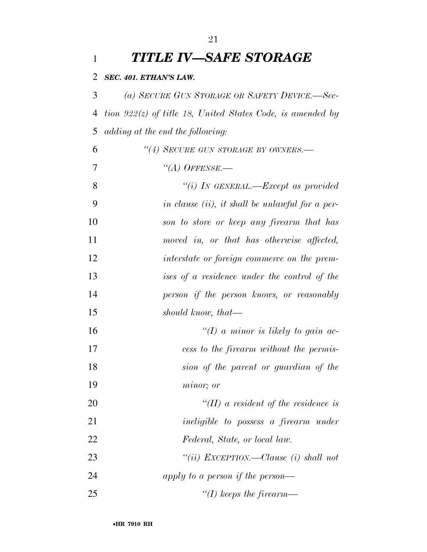| 1         | TITLE IV—SAFE STORAGE                                        |
|-----------|--------------------------------------------------------------|
| 2         | SEC. 401. ETHAN'S LAW.                                       |
| 3         | (a) SECURE GUN STORAGE OR SAFETY DEVICE.-Sec-                |
| 4         | tion $922(z)$ of title 18, United States Code, is amended by |
| 5         | adding at the end the following:                             |
| 6         | "(4) SECURE GUN STORAGE BY OWNERS.-                          |
| 7         | $``(A)$ Offense.—                                            |
| 8         | "(i) IN GENERAL.—Except as provided                          |
| 9         | in clause (ii), it shall be unlawful for a per-              |
| 10        | son to store or keep any firearm that has                    |
| 11        | moved in, or that has otherwise affected,                    |
| 12        | interstate or foreign commerce on the prem-                  |
| 13        | ises of a residence under the control of the                 |
| 14        | person if the person knows, or reasonably                    |
| 15        | should know, that—                                           |
| 16        | "(I) a minor is likely to gain ac-                           |
| 17        | cess to the firearm without the permis-                      |
| 18        | sion of the parent or guardian of the                        |
| 19        | minor; or                                                    |
| 20        | $\lq (II)$ a resident of the residence is                    |
| 21        | <i>ineligible to possess a firearm under</i>                 |
| <u>22</u> | Federal, State, or local law.                                |
| 23        | "(ii) EXCEPTION.—Clause (i) shall not                        |
| 24        | apply to a person if the person—                             |
| 25        | $\lq (I)$ keeps the firearm—                                 |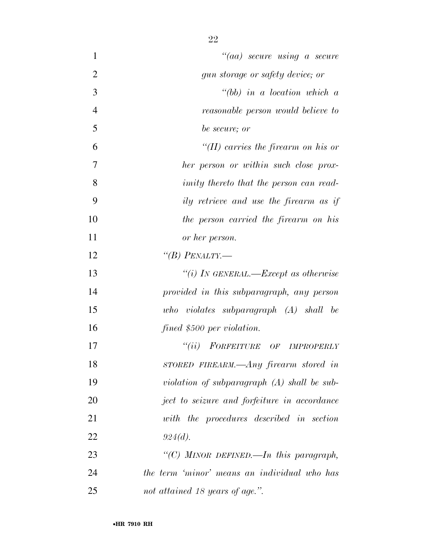| 1              | $``(aa)$ secure using a secure                 |
|----------------|------------------------------------------------|
| $\overline{2}$ | gun storage or safety device; or               |
| 3              | $\lq\lq (bb)$ in a location which a            |
| $\overline{4}$ | reasonable person would believe to             |
| 5              | be secure; or                                  |
| 6              | "(II) carries the firearm on his or            |
| 7              | her person or within such close prox-          |
| 8              | <i>imity thereto that the person can read-</i> |
| 9              | ily retrieve and use the firearm as if         |
| 10             | the person carried the firearm on his          |
| 11             | or her person.                                 |
| 12             | "(B) PENALTY.—                                 |
| 13             | "(i) IN GENERAL.—Except as otherwise           |
| 14             | provided in this subparagraph, any person      |
| 15             | who violates subparagraph (A) shall be         |
| 16             | fined \$500 per violation.                     |
| 17             | ``(ii)<br>FORFEITURE OF IMPROPERLY             |
| 18             | $STORED$ FIREARM.—Any firearm stored in        |
| 19             | violation of subparagraph $(A)$ shall be sub-  |
| 20             | ject to seizure and forfeiture in accordance   |
| 21             | with the procedures described in section       |
| 22             | 924(d).                                        |
| 23             | "(C) MINOR DEFINED.—In this paragraph,         |
| 24             | the term 'minor' means an individual who has   |
| 25             | not attained 18 years of age.".                |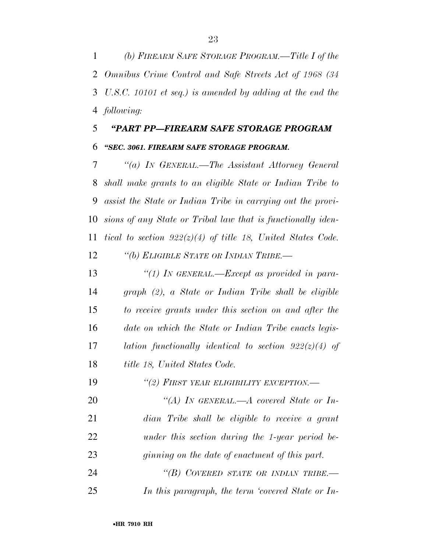*(b) FIREARM SAFE STORAGE PROGRAM.—Title I of the Omnibus Crime Control and Safe Streets Act of 1968 (34 U.S.C. 10101 et seq.) is amended by adding at the end the following:* 

## *''PART PP—FIREARM SAFE STORAGE PROGRAM ''SEC. 3061. FIREARM SAFE STORAGE PROGRAM.*

 *''(a) IN GENERAL.—The Assistant Attorney General shall make grants to an eligible State or Indian Tribe to assist the State or Indian Tribe in carrying out the provi- sions of any State or Tribal law that is functionally iden- tical to section 922(z)(4) of title 18, United States Code. ''(b) ELIGIBLE STATE OR INDIAN TRIBE.—* 

 *''(1) IN GENERAL.—Except as provided in para- graph (2), a State or Indian Tribe shall be eligible to receive grants under this section on and after the date on which the State or Indian Tribe enacts legis- lation functionally identical to section 922(z)(4) of title 18, United States Code.* 

*''(2) FIRST YEAR ELIGIBILITY EXCEPTION.—* 

 *''(A) IN GENERAL.—A covered State or In- dian Tribe shall be eligible to receive a grant under this section during the 1-year period be- ginning on the date of enactment of this part. ''(B) COVERED STATE OR INDIAN TRIBE.—* 

*In this paragraph, the term 'covered State or In-*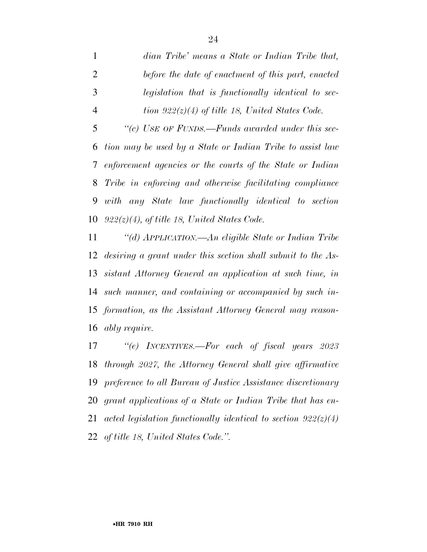*dian Tribe' means a State or Indian Tribe that, before the date of enactment of this part, enacted legislation that is functionally identical to sec-tion 922(z)(4) of title 18, United States Code.* 

 *''(c) USE OF FUNDS.—Funds awarded under this sec- tion may be used by a State or Indian Tribe to assist law enforcement agencies or the courts of the State or Indian Tribe in enforcing and otherwise facilitating compliance with any State law functionally identical to section 922(z)(4), of title 18, United States Code.* 

 *''(d) APPLICATION.—An eligible State or Indian Tribe desiring a grant under this section shall submit to the As- sistant Attorney General an application at such time, in such manner, and containing or accompanied by such in- formation, as the Assistant Attorney General may reason-ably require.* 

 *''(e) INCENTIVES.—For each of fiscal years 2023 through 2027, the Attorney General shall give affirmative preference to all Bureau of Justice Assistance discretionary grant applications of a State or Indian Tribe that has en- acted legislation functionally identical to section 922(z)(4) of title 18, United States Code.''.*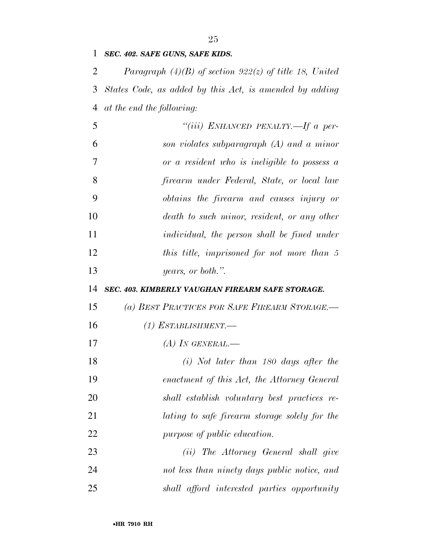*SEC. 402. SAFE GUNS, SAFE KIDS.* 

 *Paragraph (4)(B) of section 922(z) of title 18, United States Code, as added by this Act, is amended by adding at the end the following:* 

| 5  | "(iii) ENHANCED PENALTY.—If a per-                 |
|----|----------------------------------------------------|
| 6  | son violates subparagraph $(A)$ and a minor        |
| 7  | or a resident who is ineligible to possess $a$     |
| 8  | firearm under Federal, State, or local law         |
| 9  | obtains the firearm and causes injury or           |
| 10 | death to such minor, resident, or any other        |
| 11 | <i>individual, the person shall be fined under</i> |
| 12 | this title, imprisoned for not more than 5         |
| 13 | years, or both.".                                  |

#### *SEC. 403. KIMBERLY VAUGHAN FIREARM SAFE STORAGE.*

| (a) BEST PRACTICES FOR SAFE FIREARM STORAGE.- |  |
|-----------------------------------------------|--|
| (1) ESTABLISHMENT.—                           |  |
| (A) IN GENERAL.—                              |  |
| $(i)$ Not later than 180 days after the       |  |
| enactment of this Act, the Attorney General   |  |
| shall establish voluntary best practices re-  |  |
| lating to safe firearm storage solely for the |  |

*(ii) The Attorney General shall give* 

*not less than ninety days public notice, and* 

*shall afford interested parties opportunity* 

*purpose of public education.*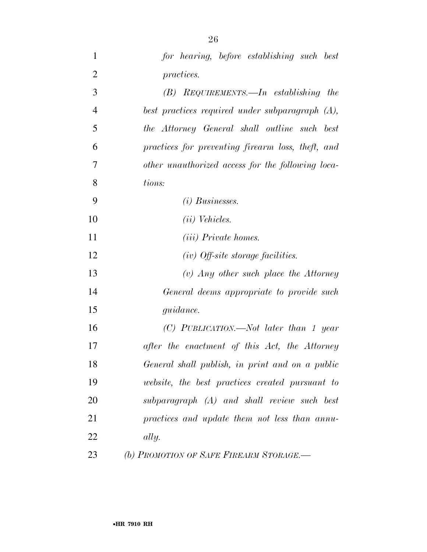| $\mathbf{1}$   | for hearing, before establishing such best        |
|----------------|---------------------------------------------------|
| $\overline{2}$ | <i>practices.</i>                                 |
| 3              | $(B)$ REQUIREMENTS.—In establishing the           |
| $\overline{4}$ | best practices required under subparagraph (A),   |
| 5              | the Attorney General shall outline such best      |
| 6              | practices for preventing firearm loss, theft, and |
| 7              | other unauthorized access for the following loca- |
| 8              | tions:                                            |
| 9              | $(i)$ Businesses.                                 |
| 10             | $(ii)$ Vehicles.                                  |
| 11             | <i>(iii)</i> Private homes.                       |
| 12             | $(iv)$ Off-site storage facilities.               |
| 13             | $(v)$ Any other such place the Attorney           |
| 14             | General deems appropriate to provide such         |
| 15             | <i>guidance.</i>                                  |
| 16             | $(C)$ PUBLICATION.—Not later than 1 year          |
| 17             | after the enactment of this Act, the Attorney     |
| 18             | General shall publish, in print and on a public   |
| 19             | website, the best practices created pursuant to   |
| 20             | subparagraph (A) and shall review such best       |
| 21             | practices and update them not less than annu-     |
| 22             | ally.                                             |
| 23             | (b) PROMOTION OF SAFE FIREARM STORAGE.-           |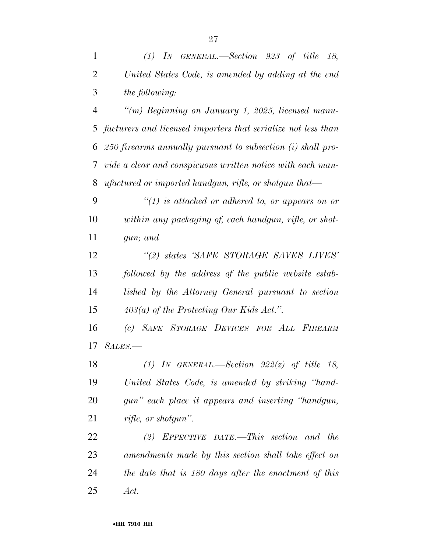| $\mathbf{1}$   | $(1)$ IN GENERAL.—Section 923 of title 18,                    |
|----------------|---------------------------------------------------------------|
| $\overline{2}$ | United States Code, is amended by adding at the end           |
| 3              | the following:                                                |
| $\overline{4}$ | "(m) Beginning on January 1, 2025, licensed manu-             |
| 5              | facturers and licensed importers that serialize not less than |
| 6              | 250 firearms annually pursuant to subsection (i) shall pro-   |
| 7              | vide a clear and conspicuous written notice with each man-    |
| 8              | ufactured or imported handgun, rifle, or shotgun that—        |
| 9              | $\lq(1)$ is attached or adhered to, or appears on or          |
| 10             | within any packaging of, each handgun, rifle, or shot-        |
| 11             | gun; and                                                      |
| 12             | "(2) states 'SAFE STORAGE SAVES LIVES'                        |
| 13             | followed by the address of the public website estab-          |
| 14             | lished by the Attorney General pursuant to section            |
| 15             | $403(a)$ of the Protecting Our Kids Act.".                    |
| 16             | (c) SAFE STORAGE DEVICES FOR ALL FIREARM                      |
| 17             | $SALES$ —                                                     |
| 18             | (1) IN GENERAL.—Section $922(z)$ of title 18,                 |
| 19             | United States Code, is amended by striking "hand-             |
| 20             | gun" each place it appears and inserting "handgun,            |
| 21             | rifle, or shotgun".                                           |
| 22             | (2) EFFECTIVE DATE.—This section and the                      |
| 23             | amendments made by this section shall take effect on          |
| 24             | the date that is 180 days after the enactment of this         |
| 25             | Act.                                                          |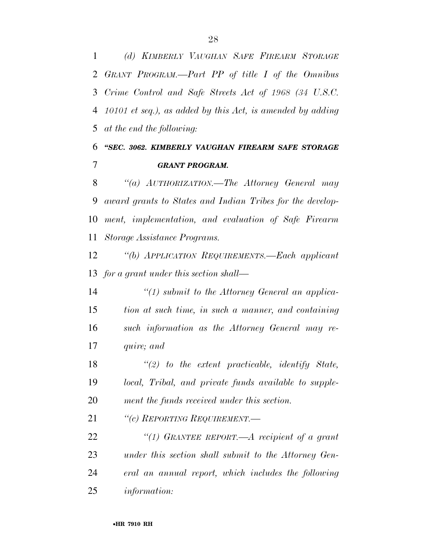*(d) KIMBERLY VAUGHAN SAFE FIREARM STORAGE GRANT PROGRAM.—Part PP of title I of the Omnibus Crime Control and Safe Streets Act of 1968 (34 U.S.C. 10101 et seq.), as added by this Act, is amended by adding at the end the following:* 

### *''SEC. 3062. KIMBERLY VAUGHAN FIREARM SAFE STORAGE GRANT PROGRAM.*

 *''(a) AUTHORIZATION.—The Attorney General may award grants to States and Indian Tribes for the develop- ment, implementation, and evaluation of Safe Firearm Storage Assistance Programs.* 

 *''(b) APPLICATION REQUIREMENTS.—Each applicant for a grant under this section shall—* 

 *''(1) submit to the Attorney General an applica- tion at such time, in such a manner, and containing such information as the Attorney General may re-quire; and* 

 *''(2) to the extent practicable, identify State, local, Tribal, and private funds available to supple-ment the funds received under this section.* 

*''(c) REPORTING REQUIREMENT.—* 

 *''(1) GRANTEE REPORT.—A recipient of a grant under this section shall submit to the Attorney Gen- eral an annual report, which includes the following information:*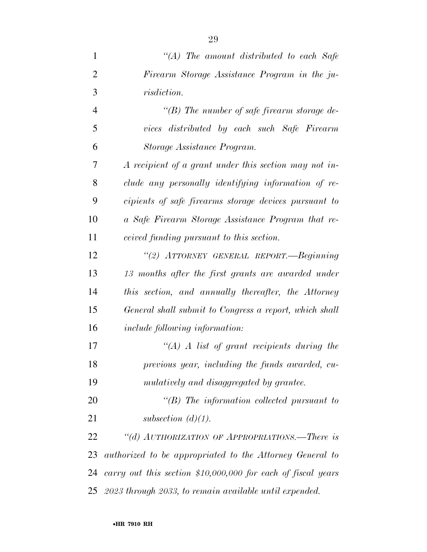| $\mathbf{1}$   | "(A) The amount distributed to each Safe                      |
|----------------|---------------------------------------------------------------|
| $\overline{2}$ | Firearm Storage Assistance Program in the ju-                 |
| 3              | <i>risdiction.</i>                                            |
| $\overline{4}$ | "(B) The number of safe firearm storage de-                   |
| 5              | vices distributed by each such Safe Firearm                   |
| 6              | Storage Assistance Program.                                   |
| 7              | A recipient of a grant under this section may not in-         |
| 8              | clude any personally identifying information of re-           |
| 9              | cipients of safe firearms storage devices pursuant to         |
| 10             | a Safe Firearm Storage Assistance Program that re-            |
| 11             | <i>ceived funding pursuant to this section.</i>               |
| 12             | "(2) ATTORNEY GENERAL REPORT.—Beginning                       |
| 13             | 13 months after the first grants are awarded under            |
| 14             | this section, and annually thereafter, the Attorney           |
| 15             | General shall submit to Congress a report, which shall        |
| 16             | <i>include following information:</i>                         |
| 17             | $\mathcal{H}(A)$ A list of grant recipients during the        |
| 18             | previous year, including the funds awarded, cu-               |
| 19             | mulatively and disaggregated by grantee.                      |
| 20             | $\lq\lq B$ ) The information collected pursuant to            |
| 21             | subsection $(d)(1)$ .                                         |
| 22             | "(d) AUTHORIZATION OF APPROPRIATIONS.—There is                |
| 23             | authorized to be appropriated to the Attorney General to      |
| 24             | carry out this section $$10,000,000$ for each of fiscal years |
|                | 25 2023 through 2033, to remain available until expended.     |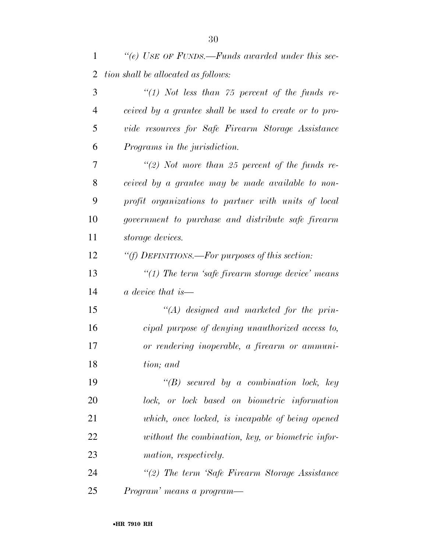| $\mathbf{1}$   | "(e) USE OF FUNDS.—Funds awarded under this sec-       |
|----------------|--------------------------------------------------------|
| $\overline{2}$ | tion shall be allocated as follows:                    |
| 3              | "(1) Not less than $75$ percent of the funds re-       |
| $\overline{4}$ | ceived by a grantee shall be used to create or to pro- |
| 5              | vide resources for Safe Firearm Storage Assistance     |
| 6              | Programs in the jurisdiction.                          |
| 7              | "(2) Not more than 25 percent of the funds re-         |
| 8              | ceived by a grantee may be made available to non-      |
| 9              | profit organizations to partner with units of local    |
| 10             | government to purchase and distribute safe firearm     |
| 11             | storage devices.                                       |
| 12             | "(f) DEFINITIONS.—For purposes of this section:        |
| 13             | $\lq(1)$ The term 'safe firearm storage device' means  |
| 14             | a device that is—                                      |
| 15             | $\lq (A)$ designed and marketed for the prin-          |
| 16             | cipal purpose of denying unauthorized access to,       |
| 17             | or rendering inoperable, a firearm or ammuni-          |
| 18             | tion; and                                              |
| 19             | $\lq\lq B$ secured by a combination lock, key          |
| 20             | lock, or lock based on biometric information           |
| 21             | which, once locked, is incapable of being opened       |
| 22             | without the combination, key, or biometric infor-      |
| 23             | mation, respectively.                                  |
| 24             | "(2) The term 'Safe Firearm Storage Assistance         |
| 25             | Program' means a program—                              |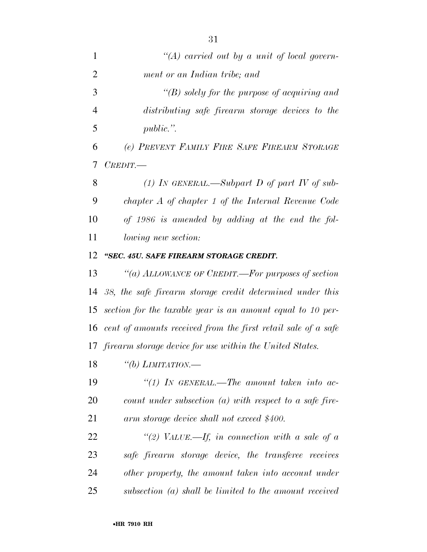| $\mathbf{1}$   | "(A) carried out by a unit of local govern-                      |
|----------------|------------------------------------------------------------------|
| $\overline{2}$ | ment or an Indian tribe; and                                     |
| 3              | $\lq (B)$ solely for the purpose of acquiring and                |
| $\overline{4}$ | distributing safe firearm storage devices to the                 |
| 5              | public.".                                                        |
| 6              | (e) PREVENT FAMILY FIRE SAFE FIREARM STORAGE                     |
| 7              | $C$ <i>REDIT.</i> —                                              |
| 8              | (1) IN GENERAL.—Subpart D of part IV of sub-                     |
| 9              | chapter A of chapter 1 of the Internal Revenue Code              |
| 10             | of 1986 is amended by adding at the end the fol-                 |
| 11             | <i>lowing new section:</i>                                       |
| 12             | "SEC. 45U. SAFE FIREARM STORAGE CREDIT.                          |
| 13             | "(a) ALLOWANCE OF CREDIT.—For purposes of section                |
|                | 14 38, the safe firearm storage credit determined under this     |
|                | 15 section for the taxable year is an amount equal to 10 per-    |
|                | 16 cent of amounts received from the first retail sale of a safe |
|                | 17 firearm storage device for use within the United States.      |
| 18             | "(b) LIMITATION.—                                                |
| 19             | "(1) IN GENERAL.—The amount taken into ac-                       |
| 20             | count under subsection $(a)$ with respect to a safe fire-        |
| 21             | arm storage device shall not exceed \$400.                       |
| 22             | "(2) VALUE.—If, in connection with a sale of a                   |
| 23             | safe firearm storage device, the transferee receives             |
| 24             | other property, the amount taken into account under              |
| 25             | subsection $(a)$ shall be limited to the amount received         |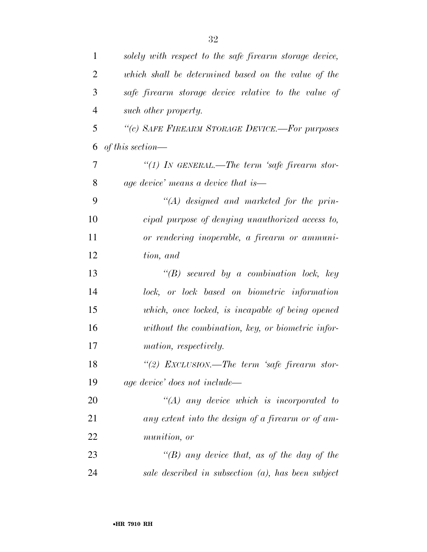| $\mathbf{1}$   | solely with respect to the safe firearm storage device, |
|----------------|---------------------------------------------------------|
| 2              | which shall be determined based on the value of the     |
| 3              | safe firearm storage device relative to the value of    |
| $\overline{4}$ | such other property.                                    |
| 5              | "(c) SAFE FIREARM STORAGE DEVICE.-For purposes          |
| 6              | of this section—                                        |
| 7              | "(1) In GENERAL.—The term 'safe firearm stor-           |
| 8              | age device' means a device that is—                     |
| 9              | $\lq (A)$ designed and marketed for the prin-           |
| 10             | cipal purpose of denying unauthorized access to,        |
| 11             | or rendering inoperable, a firearm or ammuni-           |
| 12             | tion, and                                               |
| 13             | $\lq\lq B$ secured by a combination lock, key           |
| 14             | lock, or lock based on biometric information            |
| 15             | which, once locked, is incapable of being opened        |
| 16             | without the combination, key, or biometric infor-       |
| 17             | mation, respectively.                                   |
| 18             | "(2) EXCLUSION.—The term 'safe firearm stor-            |
| 19             | age device' does not include—                           |
| 20             | $\lq (A)$ any device which is incorporated to           |
| 21             | any extent into the design of a firearm or of am-       |
| 22             | munition, or                                            |
| 23             | "(B) any device that, as of the day of the              |
| 24             | sale described in subsection $(a)$ , has been subject   |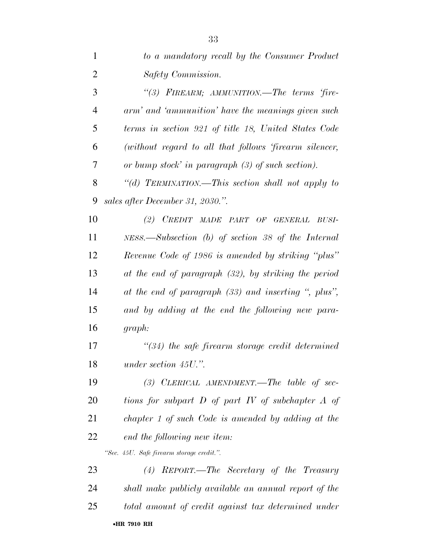| 1              | to a mandatory recall by the Consumer Product             |
|----------------|-----------------------------------------------------------|
| $\overline{2}$ | Safety Commission.                                        |
| 3              | "(3) FIREARM; AMMUNITION.—The terms 'fire-                |
| $\overline{4}$ | arm' and 'ammunition' have the meanings given such        |
| 5              | terms in section 921 of title 18, United States Code      |
| 6              | (without regard to all that follows 'firearm silencer,    |
| 7              | or bump stock' in paragraph $(3)$ of such section).       |
| 8              | "(d) TERMINATION.—This section shall not apply to         |
| 9              | sales after December 31, 2030.".                          |
| 10             | (2) CREDIT MADE PART OF GENERAL BUSI-                     |
| 11             | $NESS$ . Subsection (b) of section 38 of the Internal     |
| 12             | Revenue Code of 1986 is amended by striking "plus"        |
| 13             | at the end of paragraph (32), by striking the period      |
| 14             | at the end of paragraph (33) and inserting ", plus",      |
| 15             | and by adding at the end the following new para-          |
| 16             | graph:                                                    |
| 17             | $\degree$ (34) the safe firearm storage credit determined |
| 18             | under section 45U.".                                      |
| 19             | $(3)$ CLERICAL AMENDMENT.—The table of sec-               |
| 20             | tions for subpart $D$ of part $IV$ of subchapter $A$ of   |
| 21             | chapter 1 of such Code is amended by adding at the        |
| 22             | end the following new item:                               |
|                | "Sec. 45U. Safe firearm storage credit.".                 |
| 23             | (4) REPORT.—The Secretary of the Treasury                 |
| 24             | shall make publicly available an annual report of the     |
| 25             | total amount of credit against tax determined under       |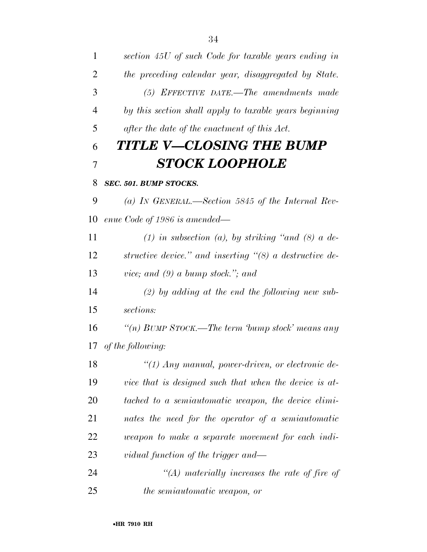| $\mathbf{1}$   | section 45U of such Code for taxable years ending in             |
|----------------|------------------------------------------------------------------|
| $\overline{2}$ | the preceding calendar year, disaggregated by State.             |
| 3              | $(5)$ EFFECTIVE DATE.—The amendments made                        |
| 4              | by this section shall apply to taxable years beginning           |
| 5              | after the date of the enactment of this Act.                     |
| 6              | TITLE V—CLOSING THE BUMP                                         |
| 7              | <b>STOCK LOOPHOLE</b>                                            |
| 8              | SEC. 501. BUMP STOCKS.                                           |
| 9              | (a) IN GENERAL.—Section 5845 of the Internal Rev-                |
| 10             | enue Code of 1986 is amended—                                    |
| 11             | (1) in subsection (a), by striking "and (8) a de-                |
| 12             | structive device." and inserting $\degree$ (8) a destructive de- |
| 13             | vice; and $(9)$ a bump stock."; and                              |
| 14             | $(2)$ by adding at the end the following new sub-                |
| 15             | sections:                                                        |
| 16             | "(n) BUMP STOCK.—The term 'bump stock' means any                 |
|                | 17 of the following:                                             |
| 18             | $\lq(1)$ Any manual, power-driven, or electronic de-             |
| 19             | vice that is designed such that when the device is at-           |
| 20             | tached to a semiautomatic weapon, the device elimi-              |
| 21             | nates the need for the operator of a semiautomatic               |
| 22             | weapon to make a separate movement for each indi-                |
| 23             | vidual function of the trigger and—                              |
| 24             | $\lq (A)$ materially increases the rate of fire of               |
| 25             | <i>the semiautomatic weapon, or</i>                              |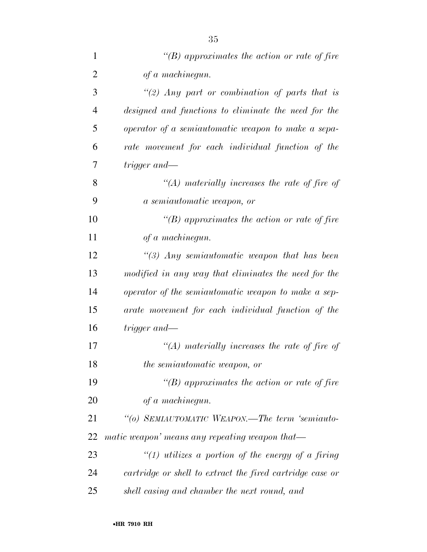| $\mathbf{1}$   | "(B) approximates the action or rate of fire              |
|----------------|-----------------------------------------------------------|
| $\overline{2}$ | of a machinegun.                                          |
| 3              | "(2) Any part or combination of parts that is             |
| $\overline{4}$ | designed and functions to eliminate the need for the      |
| 5              | operator of a semiautomatic weapon to make a sepa-        |
| 6              | rate movement for each individual function of the         |
| 7              | trigger and—                                              |
| 8              | $\lq (A)$ materially increases the rate of fire of        |
| 9              | a semiautomatic weapon, or                                |
| 10             | "(B) approximates the action or rate of fire              |
| 11             | of a machinegun.                                          |
| 12             | $\lq(3)$ Any semiautomatic weapon that has been           |
| 13             | modified in any way that eliminates the need for the      |
| 14             | operator of the semiautomatic weapon to make a sep-       |
| 15             | arate movement for each individual function of the        |
| 16             | trigger and—                                              |
| 17             | $\lq (A)$ materially increases the rate of fire of        |
| 18             | <i>the semiautomatic weapon, or</i>                       |
| 19             | $\lq\lq(B)$ approximates the action or rate of fire       |
| 20             | of a machinegun.                                          |
| 21             | "(o) SEMIAUTOMATIC WEAPON.—The term 'semiauto-            |
| 22             | matic weapon' means any repeating weapon that—            |
| 23             | "(1) utilizes a portion of the energy of a firing         |
| 24             | cartridge or shell to extract the fired cartridge case or |
| 25             | shell casing and chamber the next round, and              |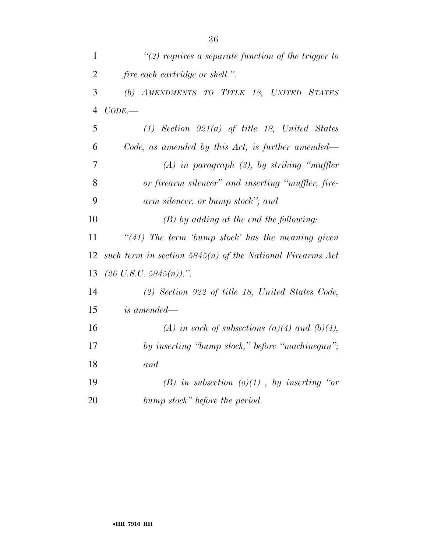| $\mathbf{1}$   | $\lq(2)$ requires a separate function of the trigger to     |
|----------------|-------------------------------------------------------------|
| $\overline{2}$ | <i>fire each cartridge or shell.".</i>                      |
| 3              | (b) AMENDMENTS TO TITLE 18, UNITED STATES                   |
| $\overline{4}$ | $CODE$ .                                                    |
| 5              | $(1)$ Section 921 $(a)$ of title 18, United States          |
| 6              | Code, as amended by this Act, is further amended—           |
| $\overline{7}$ | $(A)$ in paragraph $(B)$ , by striking "muffler"            |
| 8              | or firearm silencer" and inserting "muffler, fire-          |
| 9              | arm silencer, or bump stock"; and                           |
| 10             | $(B)$ by adding at the end the following:                   |
| 11             | "(41) The term bump stock' has the meaning given            |
| 12             | such term in section $5845(n)$ of the National Firearms Act |
| 13             | $(26 \text{ U.S.C. } 5845(n)).$ ".                          |
| 14             | $(2)$ Section 922 of title 18, United States Code,          |
| 15             | is amended—                                                 |
| 16             | (A) in each of subsections (a)(4) and (b)(4),               |
| 17             | by inserting "bump stock," before "machinegun";             |
| 18             | and                                                         |
| 19             | (B) in subsection $(o)(1)$ , by inserting "or               |
| 20             | bump stock" before the period.                              |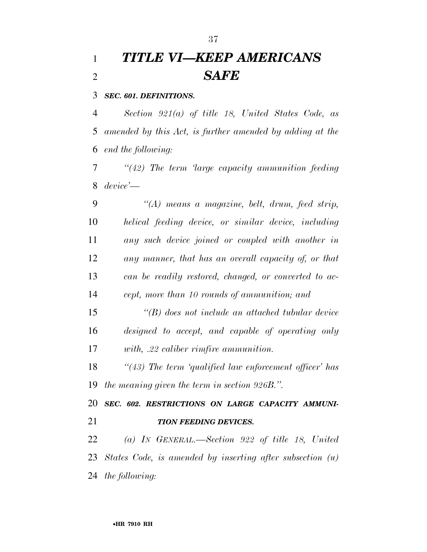# *TITLE VI—KEEP AMERICANS SAFE*

#### *SEC. 601. DEFINITIONS.*

 *Section 921(a) of title 18, United States Code, as amended by this Act, is further amended by adding at the end the following:* 

 *''(42) The term 'large capacity ammunition feeding device'—* 

 *''(A) means a magazine, belt, drum, feed strip, helical feeding device, or similar device, including any such device joined or coupled with another in any manner, that has an overall capacity of, or that can be readily restored, changed, or converted to ac-cept, more than 10 rounds of ammunition; and* 

 *''(B) does not include an attached tubular device designed to accept, and capable of operating only with, .22 caliber rimfire ammunition.* 

 *''(43) The term 'qualified law enforcement officer' has the meaning given the term in section 926B.''.* 

 *SEC. 602. RESTRICTIONS ON LARGE CAPACITY AMMUNI-TION FEEDING DEVICES.* 

 *(a) IN GENERAL.—Section 922 of title 18, United States Code, is amended by inserting after subsection (u) the following:*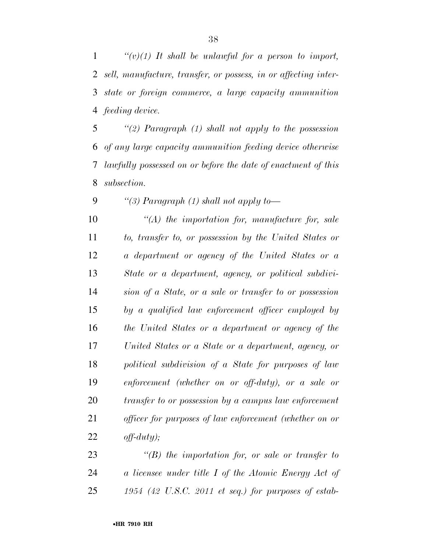*''(v)(1) It shall be unlawful for a person to import, sell, manufacture, transfer, or possess, in or affecting inter- state or foreign commerce, a large capacity ammunition feeding device.* 

 *''(2) Paragraph (1) shall not apply to the possession of any large capacity ammunition feeding device otherwise lawfully possessed on or before the date of enactment of this subsection.* 

*''(3) Paragraph (1) shall not apply to—* 

 *''(A) the importation for, manufacture for, sale to, transfer to, or possession by the United States or a department or agency of the United States or a State or a department, agency, or political subdivi- sion of a State, or a sale or transfer to or possession by a qualified law enforcement officer employed by the United States or a department or agency of the United States or a State or a department, agency, or political subdivision of a State for purposes of law enforcement (whether on or off-duty), or a sale or transfer to or possession by a campus law enforcement officer for purposes of law enforcement (whether on or off-duty);* 

 *''(B) the importation for, or sale or transfer to a licensee under title I of the Atomic Energy Act of 1954 (42 U.S.C. 2011 et seq.) for purposes of estab-*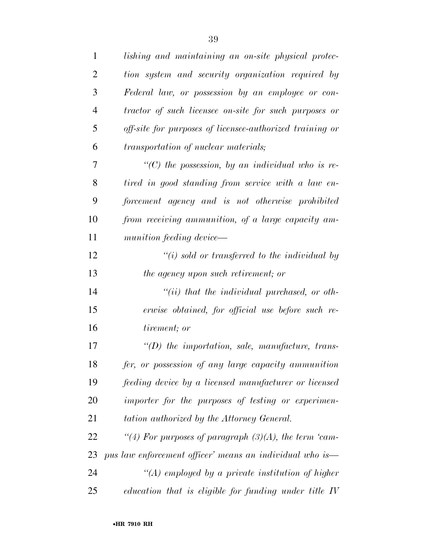| $\mathbf{1}$   | lishing and maintaining an on-site physical protec-      |
|----------------|----------------------------------------------------------|
| $\overline{2}$ | tion system and security organization required by        |
| 3              | Federal law, or possession by an employee or con-        |
| $\overline{4}$ | tractor of such licensee on-site for such purposes or    |
| 5              | off-site for purposes of licensee-authorized training or |
| 6              | transportation of nuclear materials;                     |
| 7              | $\lq$ (C) the possession, by an individual who is re-    |
| 8              | tired in good standing from service with a law en-       |
| 9              | forcement agency and is not otherwise prohibited         |
| 10             | from receiving ammunition, of a large capacity am-       |
| 11             | munition feeding device—                                 |
| 12             | $\lq\lq(i)$ sold or transferred to the individual by     |
| 13             | the agency upon such retirement; or                      |
| 14             | $``(ii)$ that the individual purchased, or oth-          |
| 15             | erwise obtained, for official use before such re-        |
| 16             | tirement; or                                             |
| 17             | $\lq (D)$ the importation, sale, manufacture, trans-     |
| 18             | fer, or possession of any large capacity ammunition      |
| 19             | feeding device by a licensed manufacturer or licensed    |
| 20             | importer for the purposes of testing or experimen-       |
| 21             | tation authorized by the Attorney General.               |
| 22             | "(4) For purposes of paragraph $(3)(A)$ , the term 'cam- |
| 23             | pus law enforcement officer' means an individual who is— |
| 24             | $\lq (A)$ employed by a private institution of higher    |
| 25             | education that is eligible for funding under title $IV$  |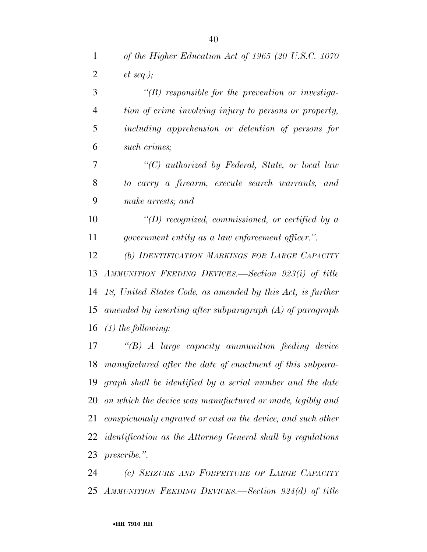*of the Higher Education Act of 1965 (20 U.S.C. 1070 et seq.); ''(B) responsible for the prevention or investiga-*

 *tion of crime involving injury to persons or property, including apprehension or detention of persons for such crimes;* 

 *''(C) authorized by Federal, State, or local law to carry a firearm, execute search warrants, and make arrests; and* 

 *''(D) recognized, commissioned, or certified by a government entity as a law enforcement officer.''.* 

 *(b) IDENTIFICATION MARKINGS FOR LARGE CAPACITY AMMUNITION FEEDING DEVICES.—Section 923(i) of title 18, United States Code, as amended by this Act, is further amended by inserting after subparagraph (A) of paragraph (1) the following:* 

 *''(B) A large capacity ammunition feeding device manufactured after the date of enactment of this subpara- graph shall be identified by a serial number and the date on which the device was manufactured or made, legibly and conspicuously engraved or cast on the device, and such other identification as the Attorney General shall by regulations prescribe.''.* 

 *(c) SEIZURE AND FORFEITURE OF LARGE CAPACITY AMMUNITION FEEDING DEVICES.—Section 924(d) of title*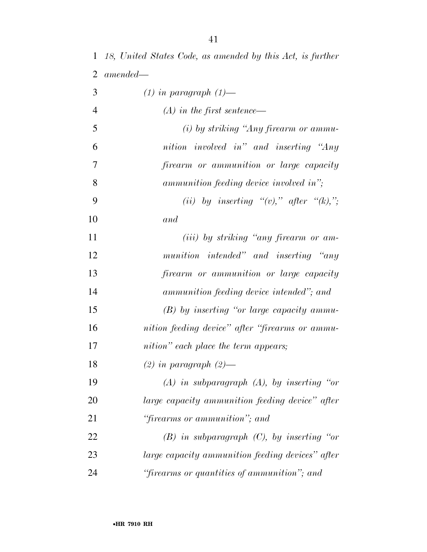*18, United States Code, as amended by this Act, is further amended— (1) in paragraph (1)— (A) in the first sentence— (i) by striking ''Any firearm or ammu- nition involved in'' and inserting ''Any firearm or ammunition or large capacity ammunition feeding device involved in'';*  9  $(i)$  by inserting  $'(v)$ ," after  $'(k)$ ,"; *and (iii) by striking ''any firearm or am- munition intended'' and inserting ''any firearm or ammunition or large capacity ammunition feeding device intended''; and (B) by inserting ''or large capacity ammu- nition feeding device'' after ''firearms or ammu- nition'' each place the term appears; (2) in paragraph (2)— (A) in subparagraph (A), by inserting ''or large capacity ammunition feeding device'' after ''firearms or ammunition''; and (B) in subparagraph (C), by inserting ''or large capacity ammunition feeding devices'' after ''firearms or quantities of ammunition''; and*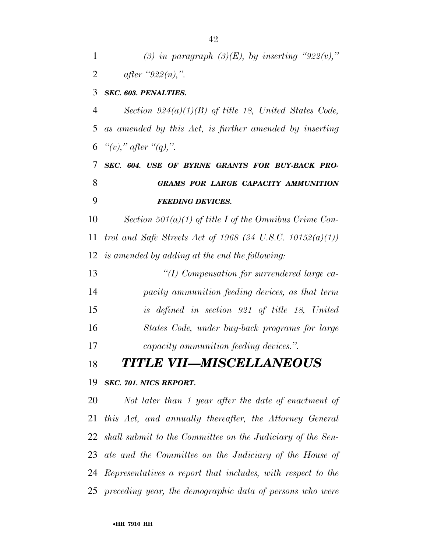1 (3) in paragraph  $(3)(E)$ , by inserting "922(v),"

| $\overline{2}$ | <i>after</i> "922( <i>n</i> ),".                           |
|----------------|------------------------------------------------------------|
| 3              | <b>SEC. 603. PENALTIES.</b>                                |
| 4              | Section $924(a)(1)(B)$ of title 18, United States Code,    |
| 5              | as amended by this Act, is further amended by inserting    |
| 6              | "(v)," after "(q),".                                       |
| 7              | SEC. 604. USE OF BYRNE GRANTS FOR BUY-BACK PRO-            |
| 8              | <b>GRAMS FOR LARGE CAPACITY AMMUNITION</b>                 |
| 9              | <b>FEEDING DEVICES.</b>                                    |
| 10             | Section 501(a)(1) of title I of the Omnibus Crime Con-     |
| 11             | trol and Safe Streets Act of 1968 (34 U.S.C. 10152(a)(1))  |
| 12             | is amended by adding at the end the following:             |
| 13             | "(I) Compensation for surrendered large ca-                |
| 14             | pacity ammunition feeding devices, as that term            |
| 15             | is defined in section 921 of title 18, United              |
| 16             | States Code, under buy-back programs for large             |
| 17             | <i>capacity ammunition feeding devices."</i> .             |
| 18             | TITLE VII—MISCELLANEOUS                                    |
|                | 19 SEC. 701. NICS REPORT.                                  |
| 20             | Not later than 1 year after the date of enactment of       |
| 21             | this Act, and annually thereafter, the Attorney General    |
| 22             | shall submit to the Committee on the Judiciary of the Sen- |
| 23             | ate and the Committee on the Judiciary of the House of     |

*Representatives a report that includes, with respect to the* 

*preceding year, the demographic data of persons who were*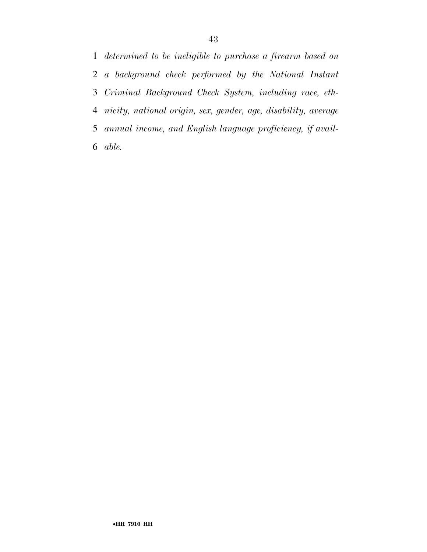*determined to be ineligible to purchase a firearm based on a background check performed by the National Instant Criminal Background Check System, including race, eth- nicity, national origin, sex, gender, age, disability, average annual income, and English language proficiency, if avail-able.*